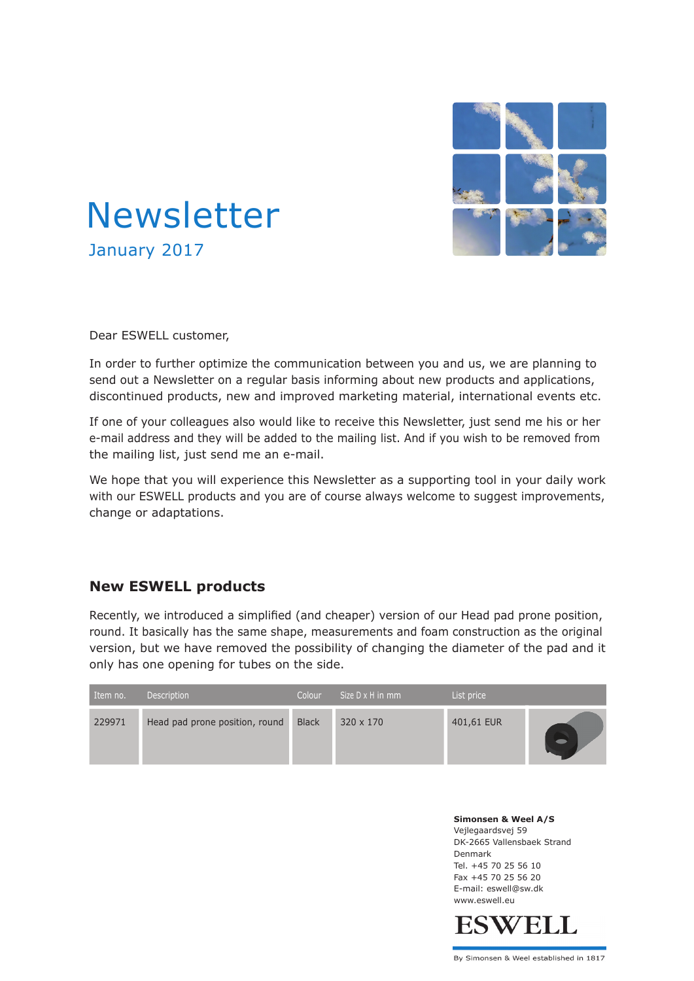



Dear ESWELL customer,

In order to further optimize the communication between you and us, we are planning to send out a Newsletter on a regular basis informing about new products and applications, discontinued products, new and improved marketing material, international events etc.

If one of your colleagues also would like to receive this Newsletter, just send me his or her e-mail address and they will be added to the mailing list. And if you wish to be removed from the mailing list, just send me an e-mail.

We hope that you will experience this Newsletter as a supporting tool in your daily work with our ESWELL products and you are of course always welcome to suggest improvements, change or adaptations.

## **New ESWELL products**

Recently, we introduced a simplified (and cheaper) version of our Head pad prone position, round. It basically has the same shape, measurements and foam construction as the original version, but we have removed the possibility of changing the diameter of the pad and it only has one opening for tubes on the side.

| Item no. | Description                    | Colour       | Size D x H in mm | List price |  |
|----------|--------------------------------|--------------|------------------|------------|--|
| 229971   | Head pad prone position, round | <b>Black</b> | 320 x 170        | 401,61 EUR |  |

**Simonsen & Weel A/S** Vejlegaardsvej 59 DK-2665 Vallensbaek Strand Denmark Tel. +45 70 25 56 10 Fax +45 70 25 56 20 E-mail: eswell@sw.dk www.eswell.eu



By Simonsen & Weel established in 1817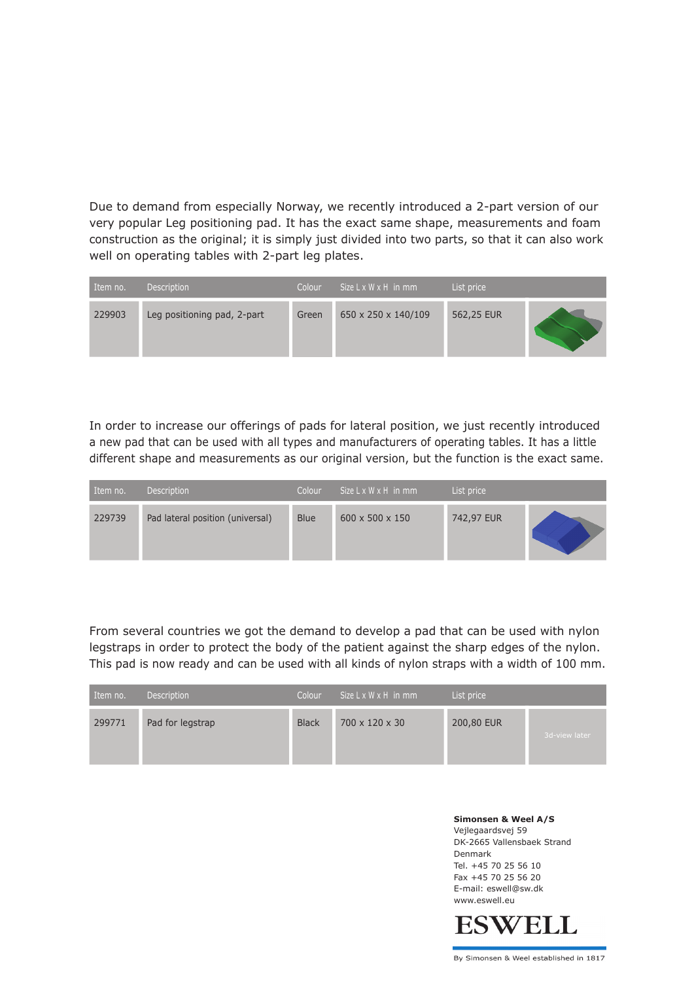Due to demand from especially Norway, we recently introduced a 2-part version of our very popular Leg positioning pad. It has the exact same shape, measurements and foam construction as the original; it is simply just divided into two parts, so that it can also work well on operating tables with 2-part leg plates.

| Item no. | <b>Description</b>          | Colour | Size $L \times W \times H$ in mm | List price |  |
|----------|-----------------------------|--------|----------------------------------|------------|--|
| 229903   | Leg positioning pad, 2-part | Green  | 650 x 250 x 140/109              | 562,25 EUR |  |

In order to increase our offerings of pads for lateral position, we just recently introduced a new pad that can be used with all types and manufacturers of operating tables. It has a little different shape and measurements as our original version, but the function is the exact same.

| Item no. | Description                      | Colour      | $Size L \times W \times H$ in mm | List price |  |
|----------|----------------------------------|-------------|----------------------------------|------------|--|
| 229739   | Pad lateral position (universal) | <b>Blue</b> | $600 \times 500 \times 150$      | 742,97 EUR |  |

From several countries we got the demand to develop a pad that can be used with nylon legstraps in order to protect the body of the patient against the sharp edges of the nylon. This pad is now ready and can be used with all kinds of nylon straps with a width of 100 mm.

| Item no. | Description      | Colour       | Size L x W x H in mm | List price |               |
|----------|------------------|--------------|----------------------|------------|---------------|
| 299771   | Pad for legstrap | <b>Black</b> | 700 x 120 x 30       | 200,80 EUR | 3d-view later |

**Simonsen & Weel A/S** Vejlegaardsvej 59 DK-2665 Vallensbaek Strand Denmark Tel. +45 70 25 56 10 Fax +45 70 25 56 20 E-mail: eswell@sw.dk www.eswell.eu



By Simonsen & Weel established in 1817